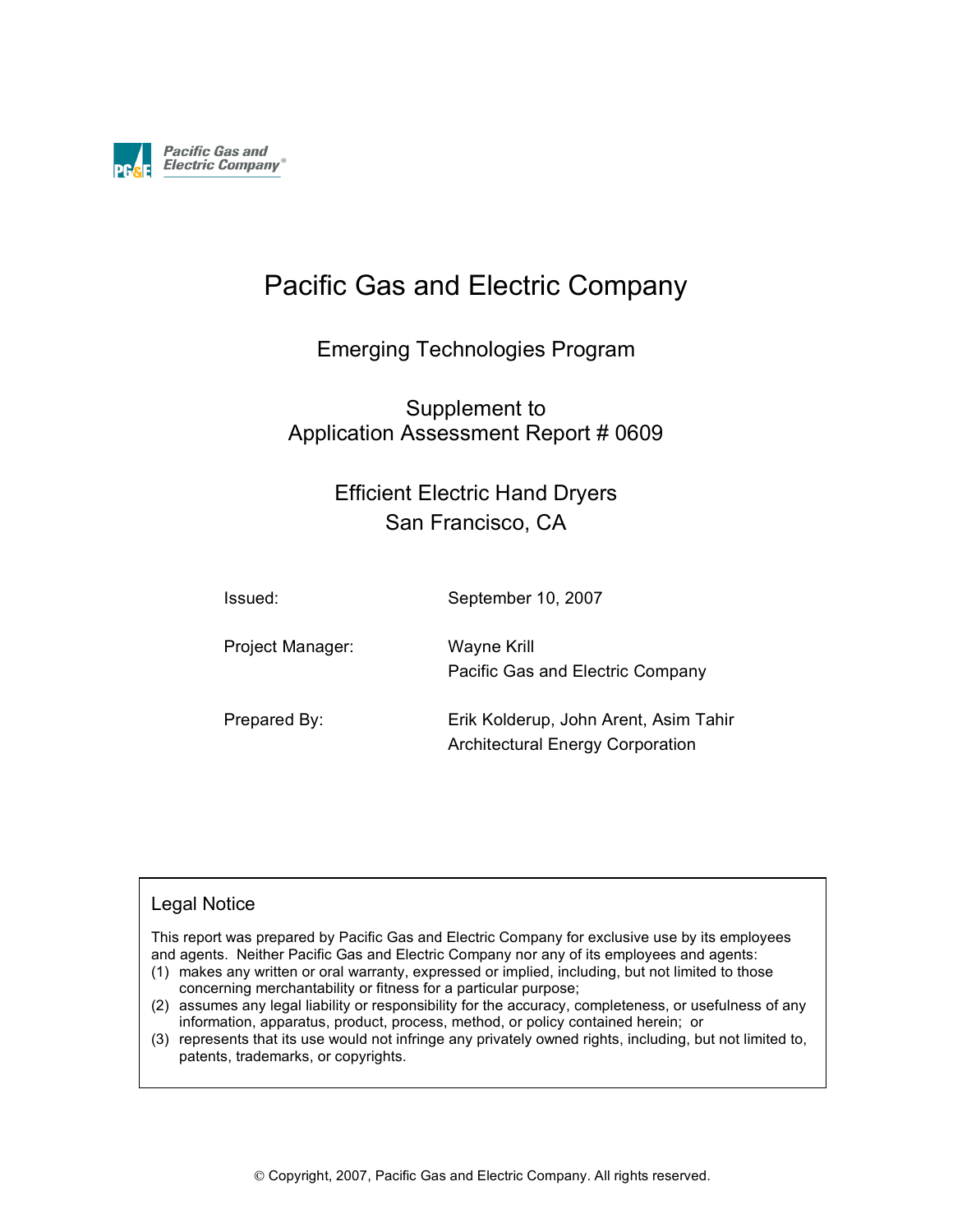

## Pacific Gas and Electric Company

### Emerging Technologies Program

### Supplement to Application Assessment Report # 0609

### Efficient Electric Hand Dryers San Francisco, CA

| Issued:          | September 10, 2007                                                               |
|------------------|----------------------------------------------------------------------------------|
| Project Manager: | Wayne Krill<br>Pacific Gas and Electric Company                                  |
| Prepared By:     | Erik Kolderup, John Arent, Asim Tahir<br><b>Architectural Energy Corporation</b> |

#### Legal Notice

This report was prepared by Pacific Gas and Electric Company for exclusive use by its employees and agents. Neither Pacific Gas and Electric Company nor any of its employees and agents:

- (1) makes any written or oral warranty, expressed or implied, including, but not limited to those concerning merchantability or fitness for a particular purpose;
- (2) assumes any legal liability or responsibility for the accuracy, completeness, or usefulness of any information, apparatus, product, process, method, or policy contained herein; or
- (3) represents that its use would not infringe any privately owned rights, including, but not limited to, patents, trademarks, or copyrights.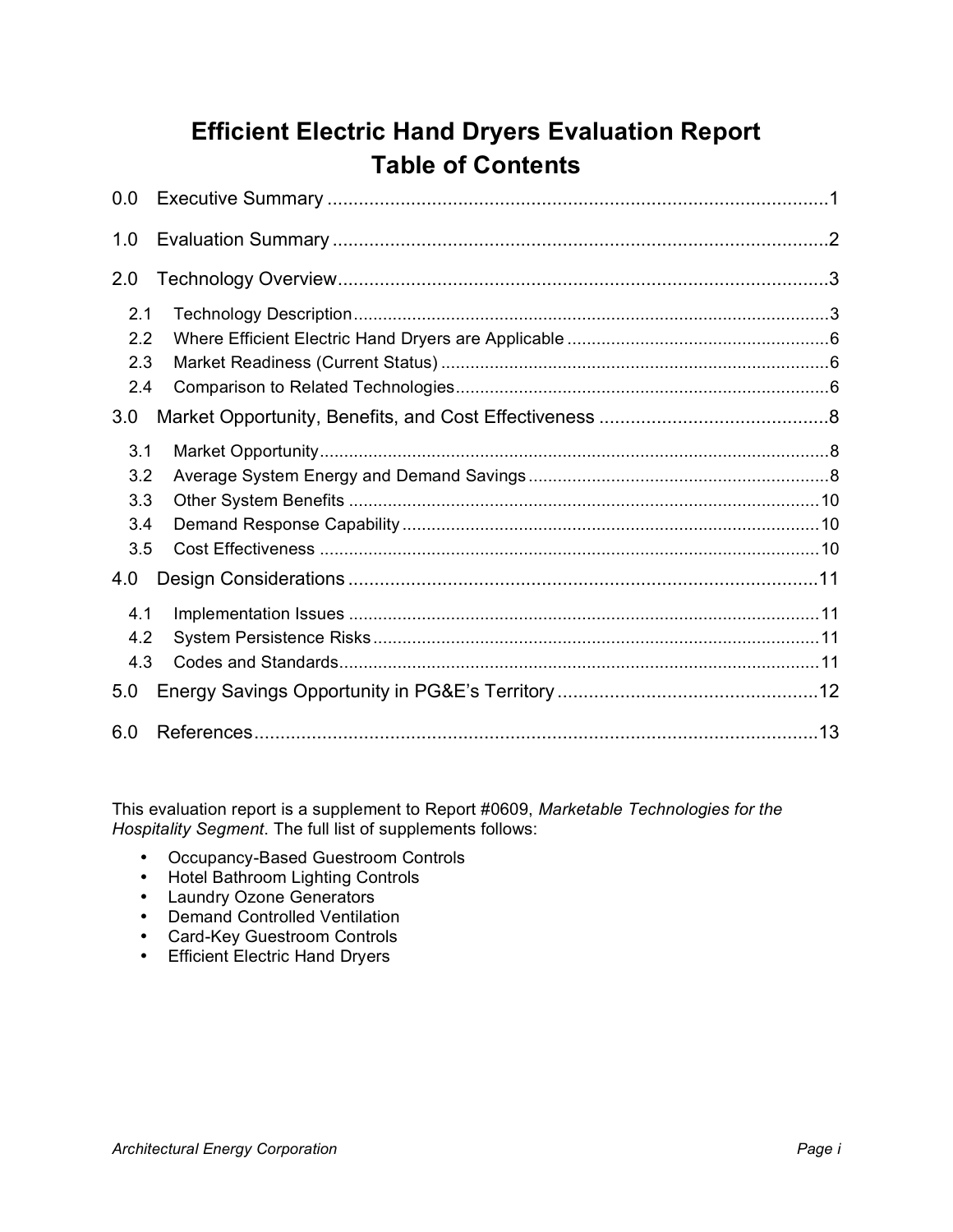## **Efficient Electric Hand Dryers Evaluation Report Table of Contents**

| 0.0 |  |
|-----|--|
| 1.0 |  |
| 2.0 |  |
| 2.1 |  |
| 2.2 |  |
| 2.3 |  |
| 2.4 |  |
| 3.0 |  |
| 3.1 |  |
| 3.2 |  |
| 3.3 |  |
| 3.4 |  |
| 3.5 |  |
| 4.0 |  |
| 4.1 |  |
| 4.2 |  |
| 4.3 |  |
| 5.0 |  |
| 6.0 |  |

This evaluation report is a supplement to Report #0609, *Marketable Technologies for the Hospitality Segment*. The full list of supplements follows:

- Occupancy-Based Guestroom Controls
- Hotel Bathroom Lighting Controls
- Laundry Ozone Generators
- Demand Controlled Ventilation
- Card-Key Guestroom Controls
- Efficient Electric Hand Dryers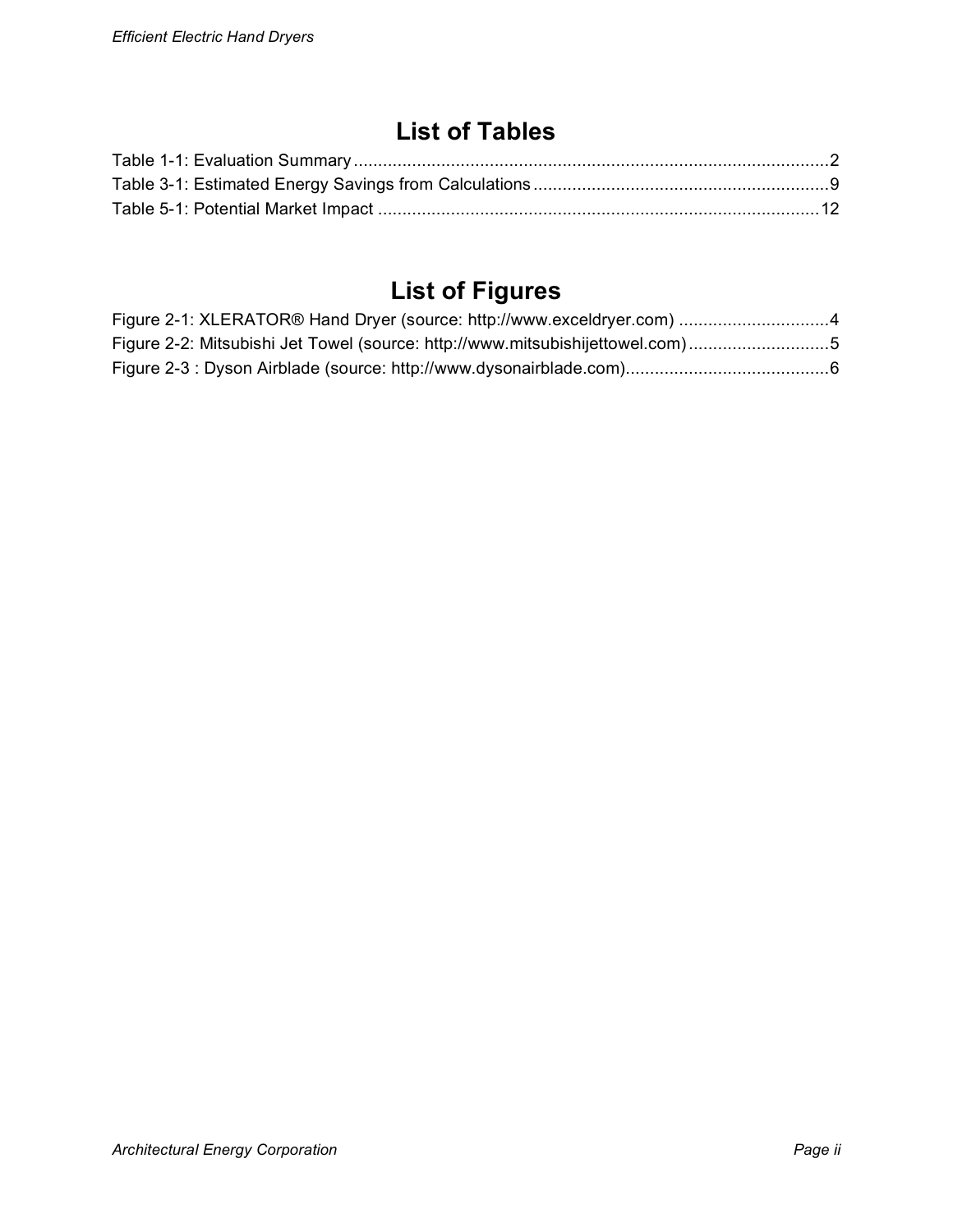### **List of Tables**

# **List of Figures**

| Figure 2-1: XLERATOR® Hand Dryer (source: http://www.exceldryer.com) 4        |  |
|-------------------------------------------------------------------------------|--|
| Figure 2-2: Mitsubishi Jet Towel (source: http://www.mitsubishijettowel.com)5 |  |
|                                                                               |  |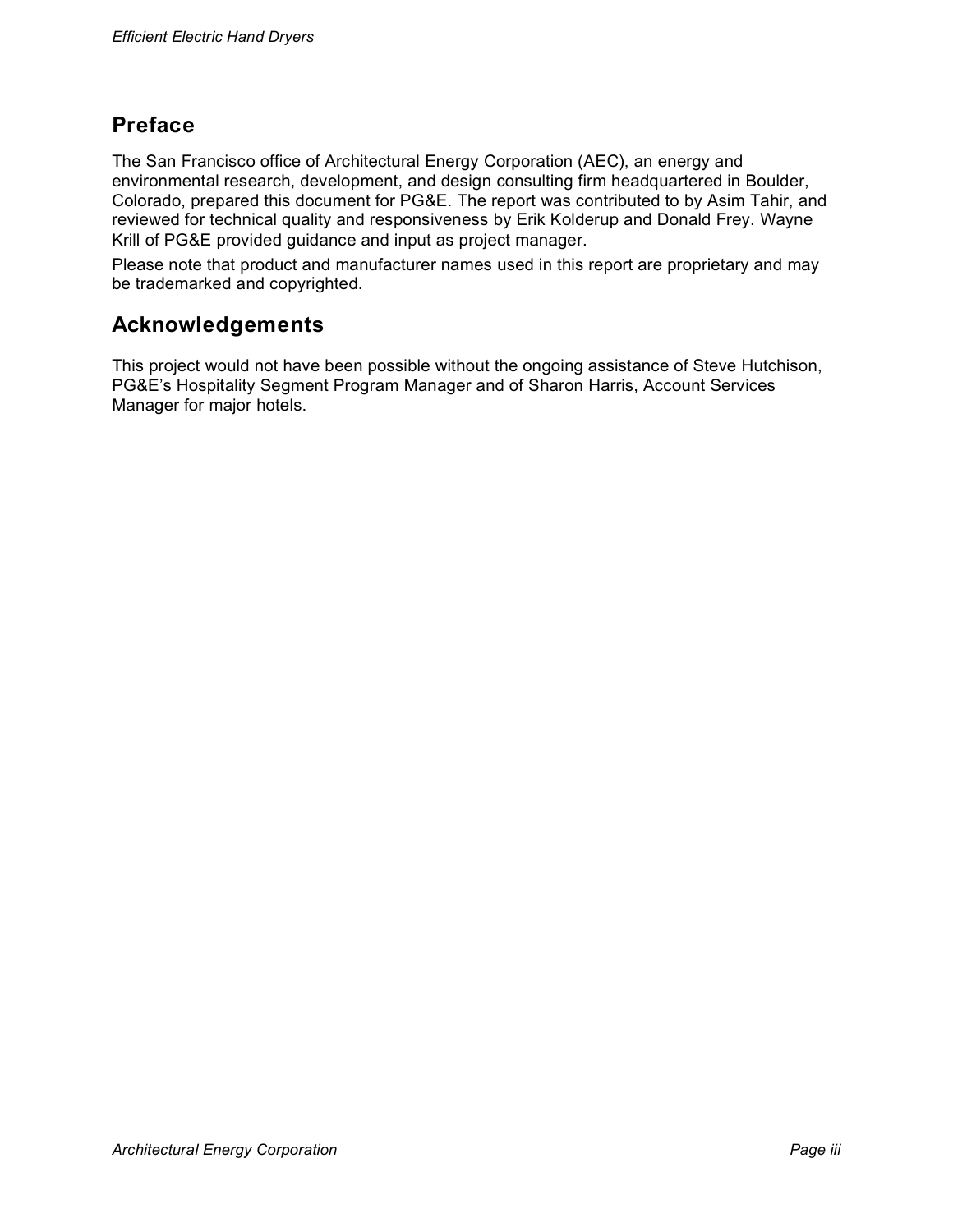### **Preface**

The San Francisco office of Architectural Energy Corporation (AEC), an energy and environmental research, development, and design consulting firm headquartered in Boulder, Colorado, prepared this document for PG&E. The report was contributed to by Asim Tahir, and reviewed for technical quality and responsiveness by Erik Kolderup and Donald Frey. Wayne Krill of PG&E provided guidance and input as project manager.

Please note that product and manufacturer names used in this report are proprietary and may be trademarked and copyrighted.

### **Acknowledgements**

This project would not have been possible without the ongoing assistance of Steve Hutchison, PG&E's Hospitality Segment Program Manager and of Sharon Harris, Account Services Manager for major hotels.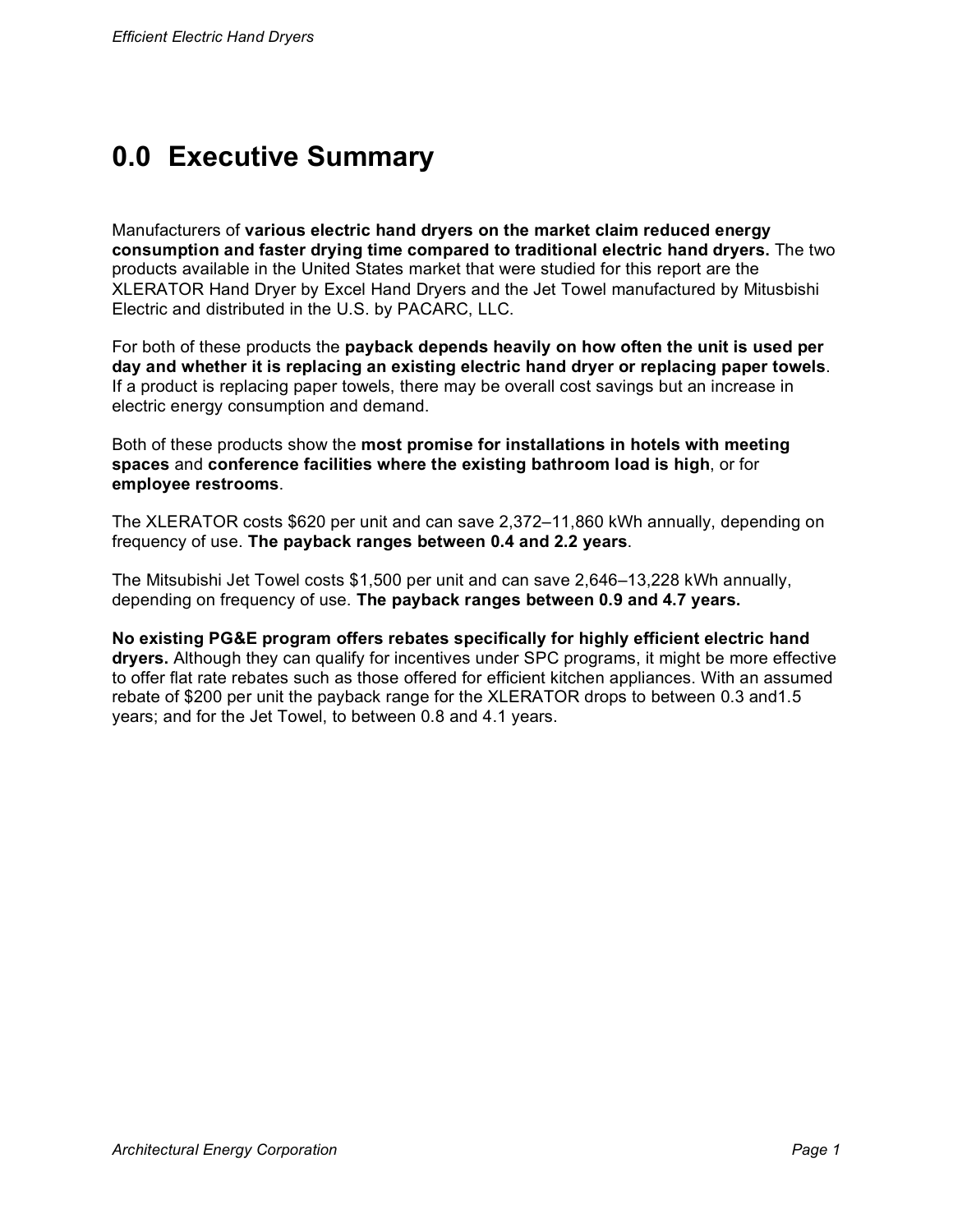# **0.0 Executive Summary**

Manufacturers of **various electric hand dryers on the market claim reduced energy consumption and faster drying time compared to traditional electric hand dryers.** The two products available in the United States market that were studied for this report are the XLERATOR Hand Dryer by Excel Hand Dryers and the Jet Towel manufactured by Mitusbishi Electric and distributed in the U.S. by PACARC, LLC.

For both of these products the **payback depends heavily on how often the unit is used per day and whether it is replacing an existing electric hand dryer or replacing paper towels**. If a product is replacing paper towels, there may be overall cost savings but an increase in electric energy consumption and demand.

Both of these products show the **most promise for installations in hotels with meeting spaces** and **conference facilities where the existing bathroom load is high**, or for **employee restrooms**.

The XLERATOR costs \$620 per unit and can save 2,372–11,860 kWh annually, depending on frequency of use. **The payback ranges between 0.4 and 2.2 years**.

The Mitsubishi Jet Towel costs \$1,500 per unit and can save 2,646–13,228 kWh annually, depending on frequency of use. **The payback ranges between 0.9 and 4.7 years.**

**No existing PG&E program offers rebates specifically for highly efficient electric hand dryers.** Although they can qualify for incentives under SPC programs, it might be more effective to offer flat rate rebates such as those offered for efficient kitchen appliances. With an assumed rebate of \$200 per unit the payback range for the XLERATOR drops to between 0.3 and1.5 years; and for the Jet Towel, to between 0.8 and 4.1 years.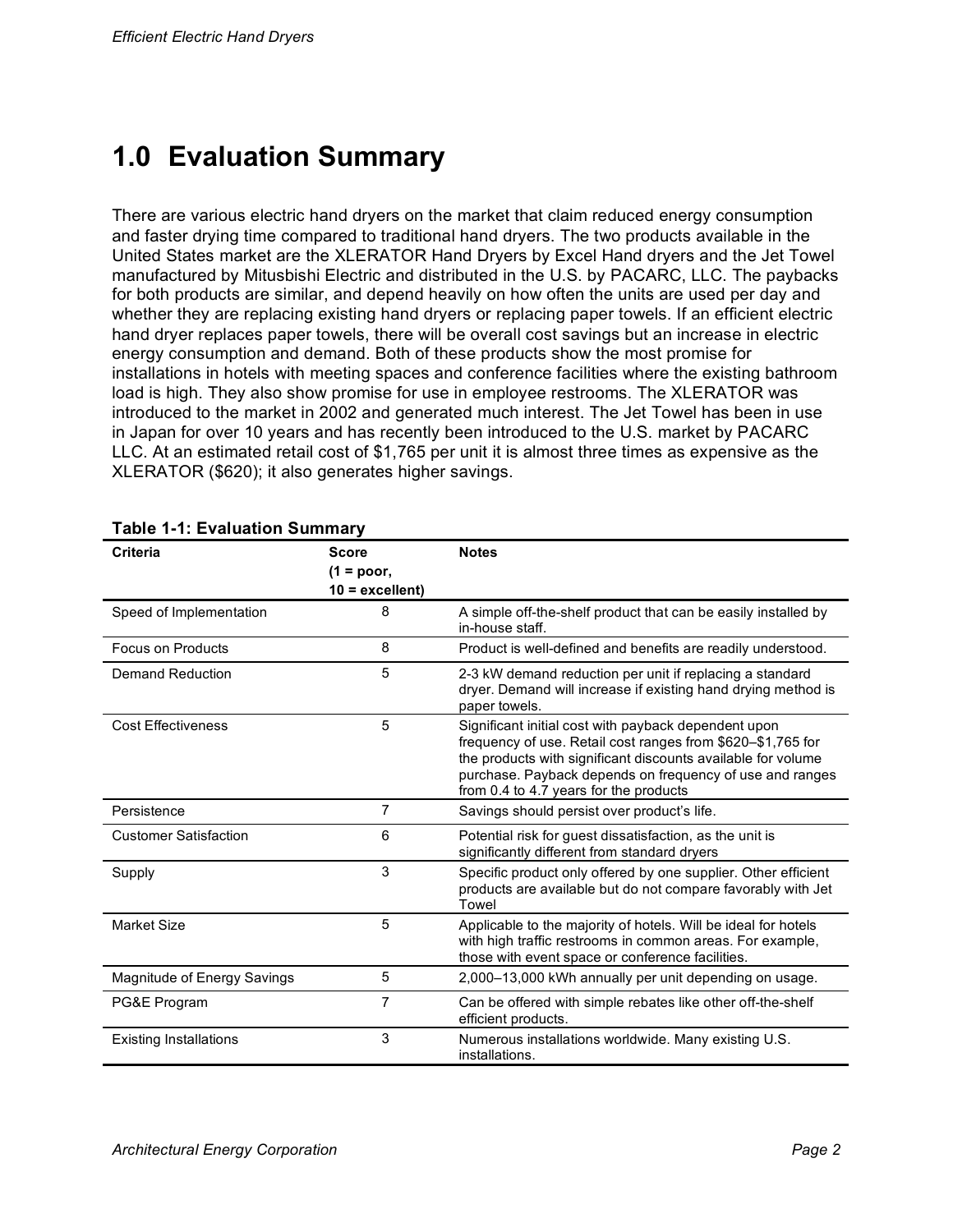# **1.0 Evaluation Summary**

There are various electric hand dryers on the market that claim reduced energy consumption and faster drying time compared to traditional hand dryers. The two products available in the United States market are the XLERATOR Hand Dryers by Excel Hand dryers and the Jet Towel manufactured by Mitusbishi Electric and distributed in the U.S. by PACARC, LLC. The paybacks for both products are similar, and depend heavily on how often the units are used per day and whether they are replacing existing hand dryers or replacing paper towels. If an efficient electric hand dryer replaces paper towels, there will be overall cost savings but an increase in electric energy consumption and demand. Both of these products show the most promise for installations in hotels with meeting spaces and conference facilities where the existing bathroom load is high. They also show promise for use in employee restrooms. The XLERATOR was introduced to the market in 2002 and generated much interest. The Jet Towel has been in use in Japan for over 10 years and has recently been introduced to the U.S. market by PACARC LLC. At an estimated retail cost of \$1,765 per unit it is almost three times as expensive as the XLERATOR (\$620); it also generates higher savings.

| Criteria                      | <b>Score</b><br>$(1 = poor,$<br>$10 =$ excellent) | <b>Notes</b>                                                                                                                                                                                                                                                                              |
|-------------------------------|---------------------------------------------------|-------------------------------------------------------------------------------------------------------------------------------------------------------------------------------------------------------------------------------------------------------------------------------------------|
| Speed of Implementation       | 8                                                 | A simple off-the-shelf product that can be easily installed by<br>in-house staff.                                                                                                                                                                                                         |
| <b>Focus on Products</b>      | 8                                                 | Product is well-defined and benefits are readily understood.                                                                                                                                                                                                                              |
| Demand Reduction              | 5                                                 | 2-3 kW demand reduction per unit if replacing a standard<br>dryer. Demand will increase if existing hand drying method is<br>paper towels.                                                                                                                                                |
| <b>Cost Effectiveness</b>     | 5                                                 | Significant initial cost with payback dependent upon<br>frequency of use. Retail cost ranges from \$620-\$1,765 for<br>the products with significant discounts available for volume<br>purchase. Payback depends on frequency of use and ranges<br>from 0.4 to 4.7 years for the products |
| Persistence                   | $\overline{7}$                                    | Savings should persist over product's life.                                                                                                                                                                                                                                               |
| <b>Customer Satisfaction</b>  | 6                                                 | Potential risk for guest dissatisfaction, as the unit is<br>significantly different from standard dryers                                                                                                                                                                                  |
| Supply                        | 3                                                 | Specific product only offered by one supplier. Other efficient<br>products are available but do not compare favorably with Jet<br>Towel                                                                                                                                                   |
| <b>Market Size</b>            | 5                                                 | Applicable to the majority of hotels. Will be ideal for hotels<br>with high traffic restrooms in common areas. For example,<br>those with event space or conference facilities.                                                                                                           |
| Magnitude of Energy Savings   | 5                                                 | 2,000–13,000 kWh annually per unit depending on usage.                                                                                                                                                                                                                                    |
| PG&E Program                  | 7                                                 | Can be offered with simple rebates like other off-the-shelf<br>efficient products.                                                                                                                                                                                                        |
| <b>Existing Installations</b> | 3                                                 | Numerous installations worldwide. Many existing U.S.<br>installations.                                                                                                                                                                                                                    |

#### **Table 1-1: Evaluation Summary**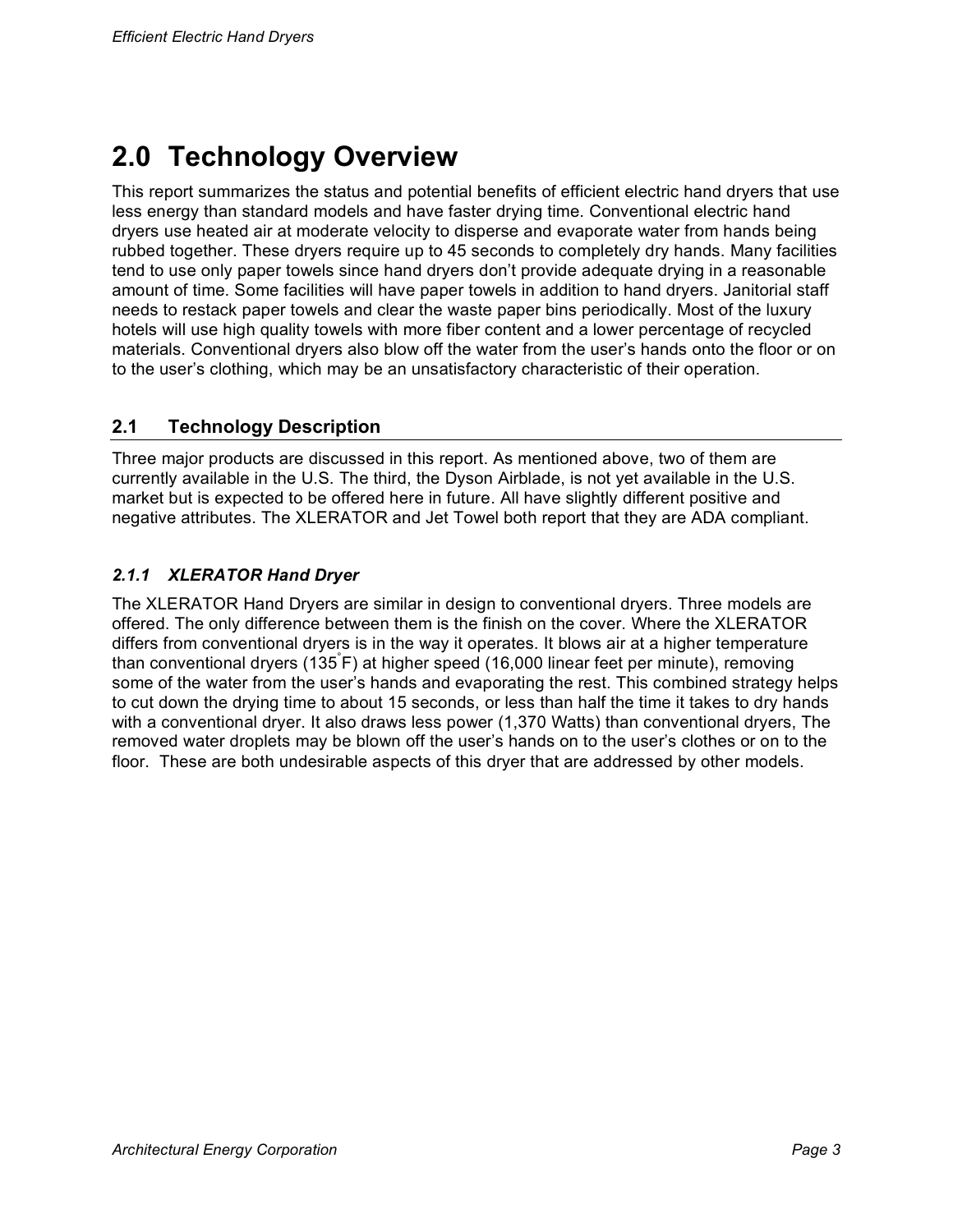# **2.0 Technology Overview**

This report summarizes the status and potential benefits of efficient electric hand dryers that use less energy than standard models and have faster drying time. Conventional electric hand dryers use heated air at moderate velocity to disperse and evaporate water from hands being rubbed together. These dryers require up to 45 seconds to completely dry hands. Many facilities tend to use only paper towels since hand dryers don't provide adequate drying in a reasonable amount of time. Some facilities will have paper towels in addition to hand dryers. Janitorial staff needs to restack paper towels and clear the waste paper bins periodically. Most of the luxury hotels will use high quality towels with more fiber content and a lower percentage of recycled materials. Conventional dryers also blow off the water from the user's hands onto the floor or on to the user's clothing, which may be an unsatisfactory characteristic of their operation.

#### **2.1 Technology Description**

Three major products are discussed in this report. As mentioned above, two of them are currently available in the U.S. The third, the Dyson Airblade, is not yet available in the U.S. market but is expected to be offered here in future. All have slightly different positive and negative attributes. The XLERATOR and Jet Towel both report that they are ADA compliant.

#### *2.1.1 XLERATOR Hand Dryer*

The XLERATOR Hand Dryers are similar in design to conventional dryers. Three models are offered. The only difference between them is the finish on the cover. Where the XLERATOR differs from conventional dryers is in the way it operates. It blows air at a higher temperature than conventional dryers (135° F) at higher speed (16,000 linear feet per minute), removing some of the water from the user's hands and evaporating the rest. This combined strategy helps to cut down the drying time to about 15 seconds, or less than half the time it takes to dry hands with a conventional dryer. It also draws less power (1,370 Watts) than conventional dryers, The removed water droplets may be blown off the user's hands on to the user's clothes or on to the floor. These are both undesirable aspects of this dryer that are addressed by other models.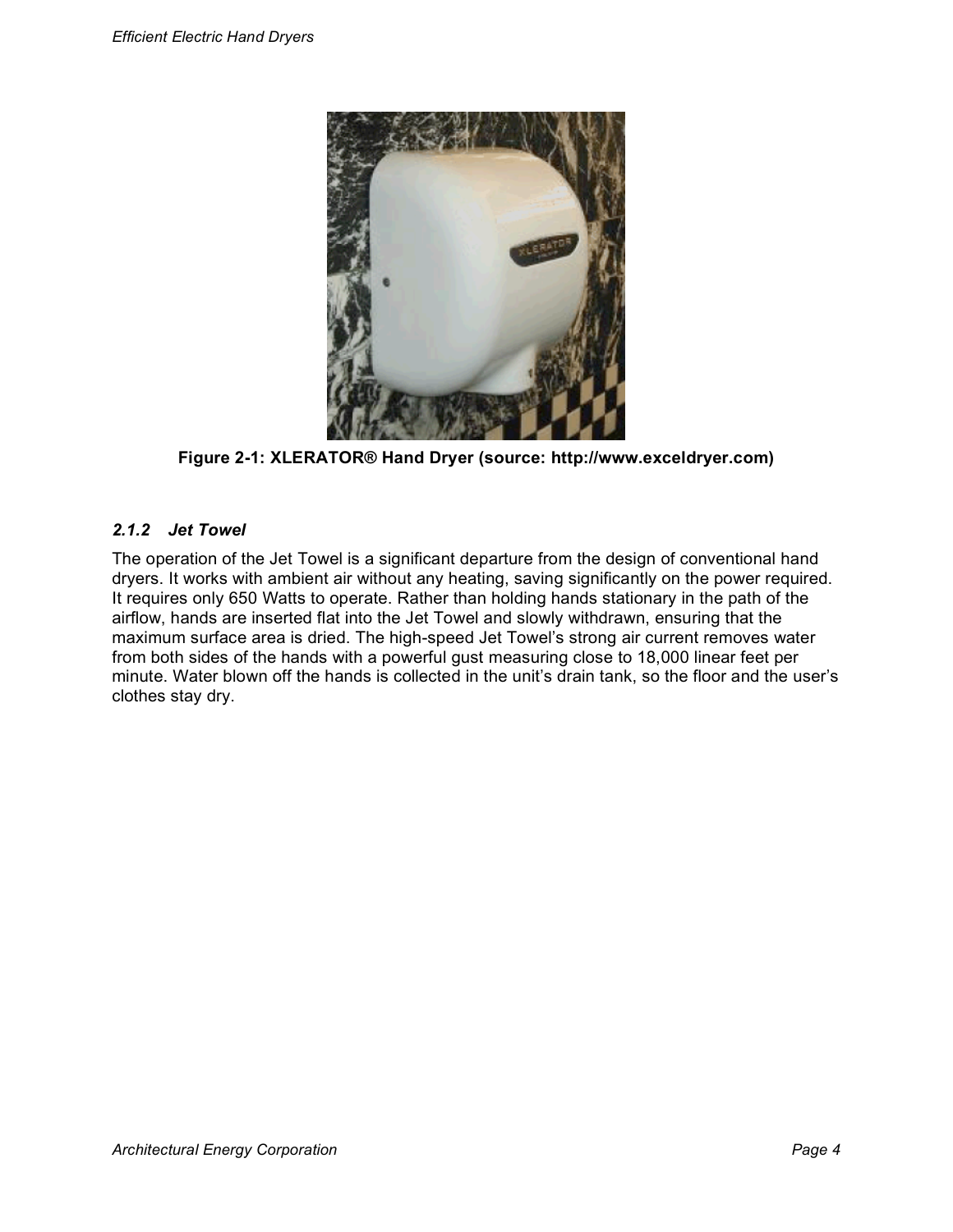

**Figure 2-1: XLERATOR® Hand Dryer (source: http://www.exceldryer.com)**

#### *2.1.2 Jet Towel*

The operation of the Jet Towel is a significant departure from the design of conventional hand dryers. It works with ambient air without any heating, saving significantly on the power required. It requires only 650 Watts to operate. Rather than holding hands stationary in the path of the airflow, hands are inserted flat into the Jet Towel and slowly withdrawn, ensuring that the maximum surface area is dried. The high-speed Jet Towel's strong air current removes water from both sides of the hands with a powerful gust measuring close to 18,000 linear feet per minute. Water blown off the hands is collected in the unit's drain tank, so the floor and the user's clothes stay dry.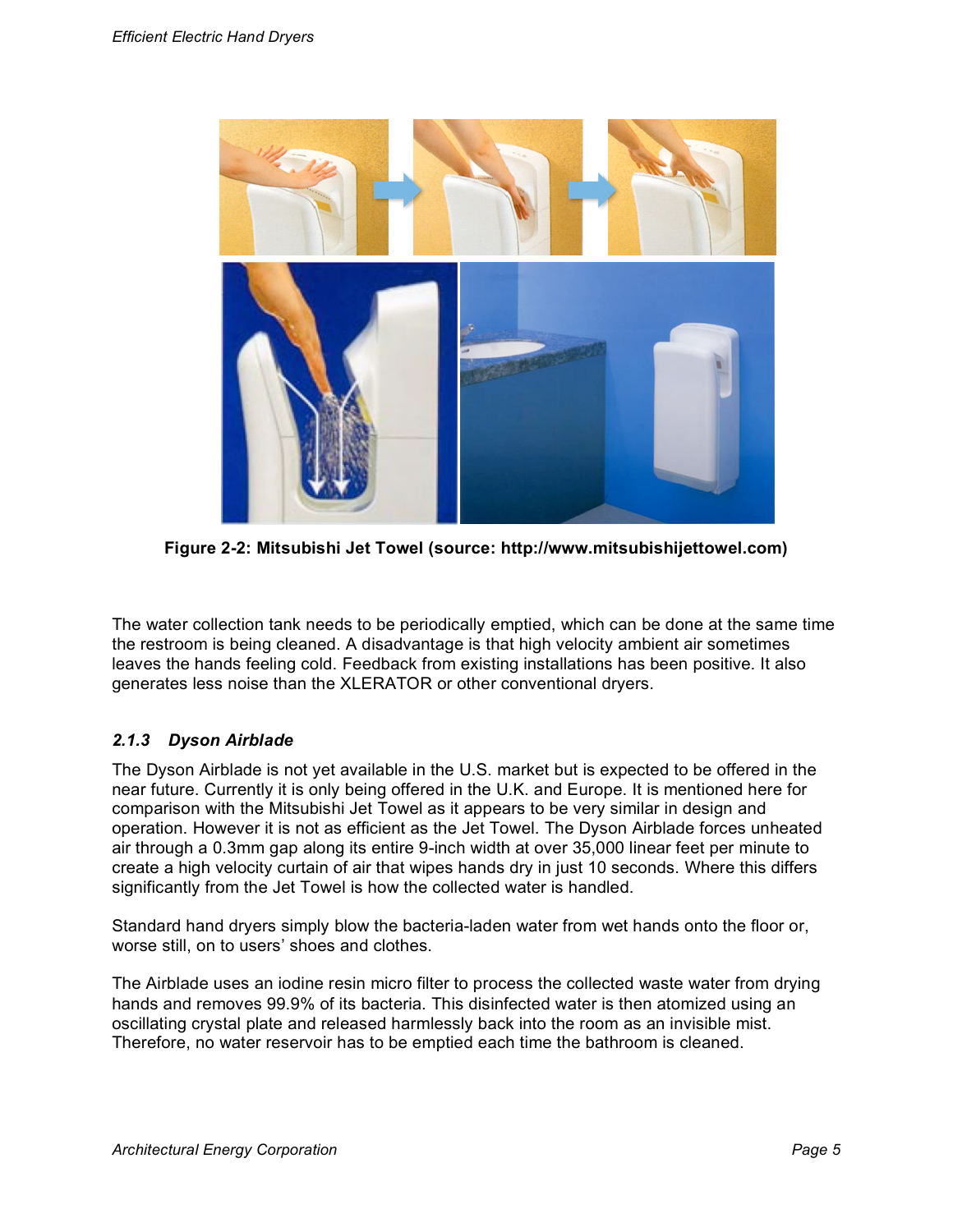

**Figure 2-2: Mitsubishi Jet Towel (source: http://www.mitsubishijettowel.com)**

The water collection tank needs to be periodically emptied, which can be done at the same time the restroom is being cleaned. A disadvantage is that high velocity ambient air sometimes leaves the hands feeling cold. Feedback from existing installations has been positive. It also generates less noise than the XLERATOR or other conventional dryers.

#### *2.1.3 Dyson Airblade*

The Dyson Airblade is not yet available in the U.S. market but is expected to be offered in the near future. Currently it is only being offered in the U.K. and Europe. It is mentioned here for comparison with the Mitsubishi Jet Towel as it appears to be very similar in design and operation. However it is not as efficient as the Jet Towel. The Dyson Airblade forces unheated air through a 0.3mm gap along its entire 9-inch width at over 35,000 linear feet per minute to create a high velocity curtain of air that wipes hands dry in just 10 seconds. Where this differs significantly from the Jet Towel is how the collected water is handled.

Standard hand dryers simply blow the bacteria-laden water from wet hands onto the floor or, worse still, on to users' shoes and clothes.

The Airblade uses an iodine resin micro filter to process the collected waste water from drying hands and removes 99.9% of its bacteria. This disinfected water is then atomized using an oscillating crystal plate and released harmlessly back into the room as an invisible mist. Therefore, no water reservoir has to be emptied each time the bathroom is cleaned.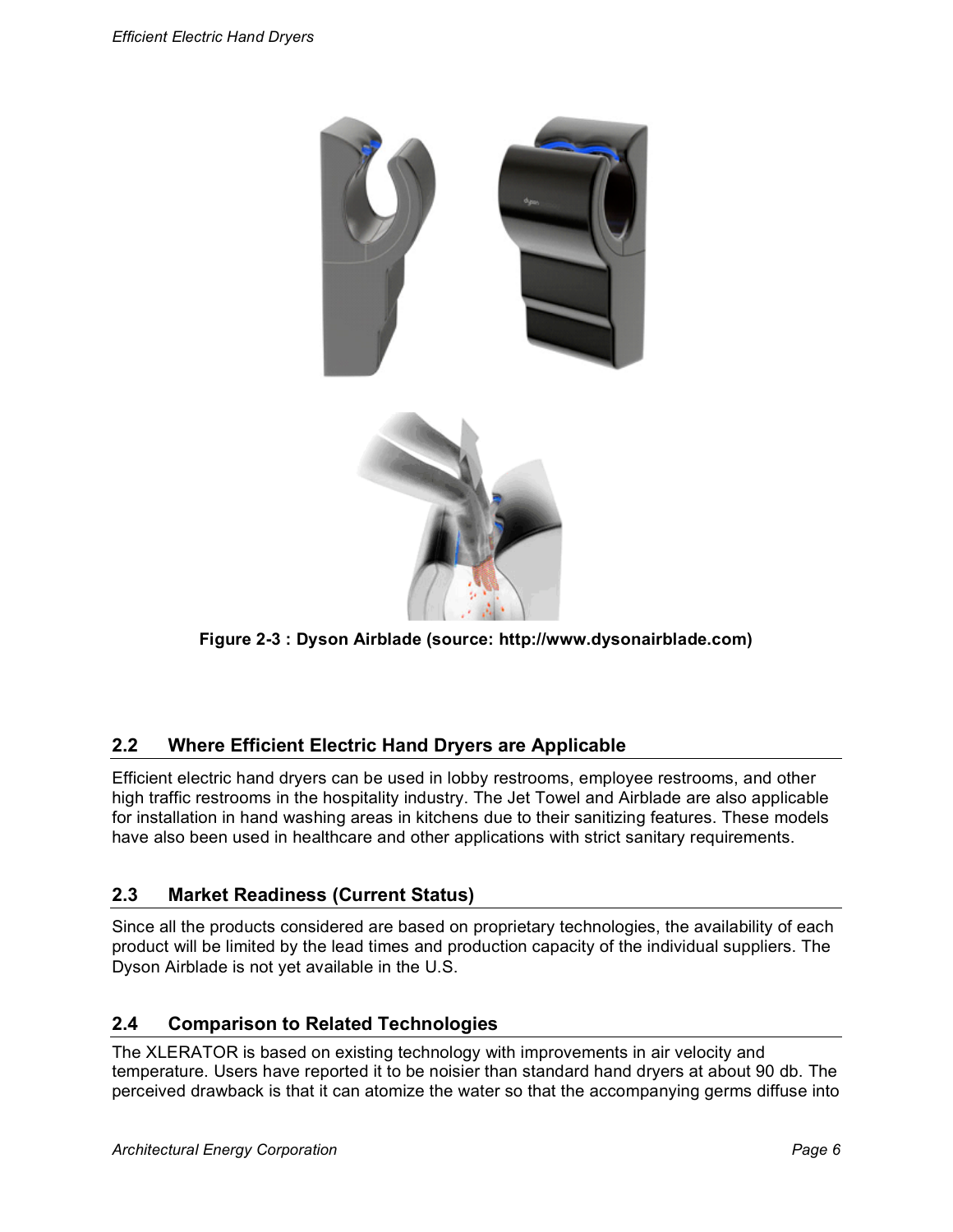

**Figure 2-3 : Dyson Airblade (source: http://www.dysonairblade.com)**

#### **2.2 Where Efficient Electric Hand Dryers are Applicable**

Efficient electric hand dryers can be used in lobby restrooms, employee restrooms, and other high traffic restrooms in the hospitality industry. The Jet Towel and Airblade are also applicable for installation in hand washing areas in kitchens due to their sanitizing features. These models have also been used in healthcare and other applications with strict sanitary requirements.

#### **2.3 Market Readiness (Current Status)**

Since all the products considered are based on proprietary technologies, the availability of each product will be limited by the lead times and production capacity of the individual suppliers. The Dyson Airblade is not yet available in the U.S.

#### **2.4 Comparison to Related Technologies**

The XLERATOR is based on existing technology with improvements in air velocity and temperature. Users have reported it to be noisier than standard hand dryers at about 90 db. The perceived drawback is that it can atomize the water so that the accompanying germs diffuse into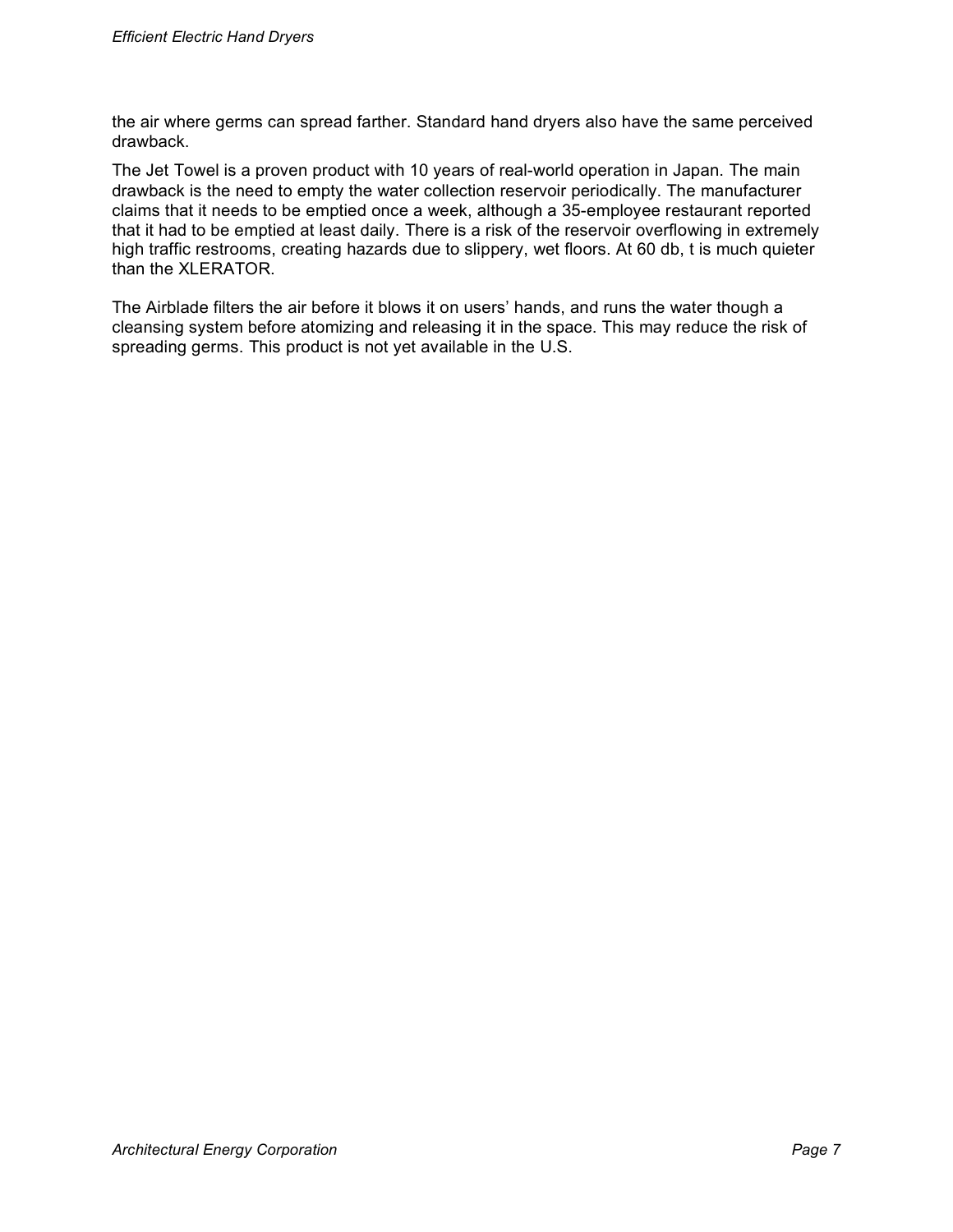the air where germs can spread farther. Standard hand dryers also have the same perceived drawback.

The Jet Towel is a proven product with 10 years of real-world operation in Japan. The main drawback is the need to empty the water collection reservoir periodically. The manufacturer claims that it needs to be emptied once a week, although a 35-employee restaurant reported that it had to be emptied at least daily. There is a risk of the reservoir overflowing in extremely high traffic restrooms, creating hazards due to slippery, wet floors. At 60 db, t is much quieter than the XLERATOR.

The Airblade filters the air before it blows it on users' hands, and runs the water though a cleansing system before atomizing and releasing it in the space. This may reduce the risk of spreading germs. This product is not yet available in the U.S.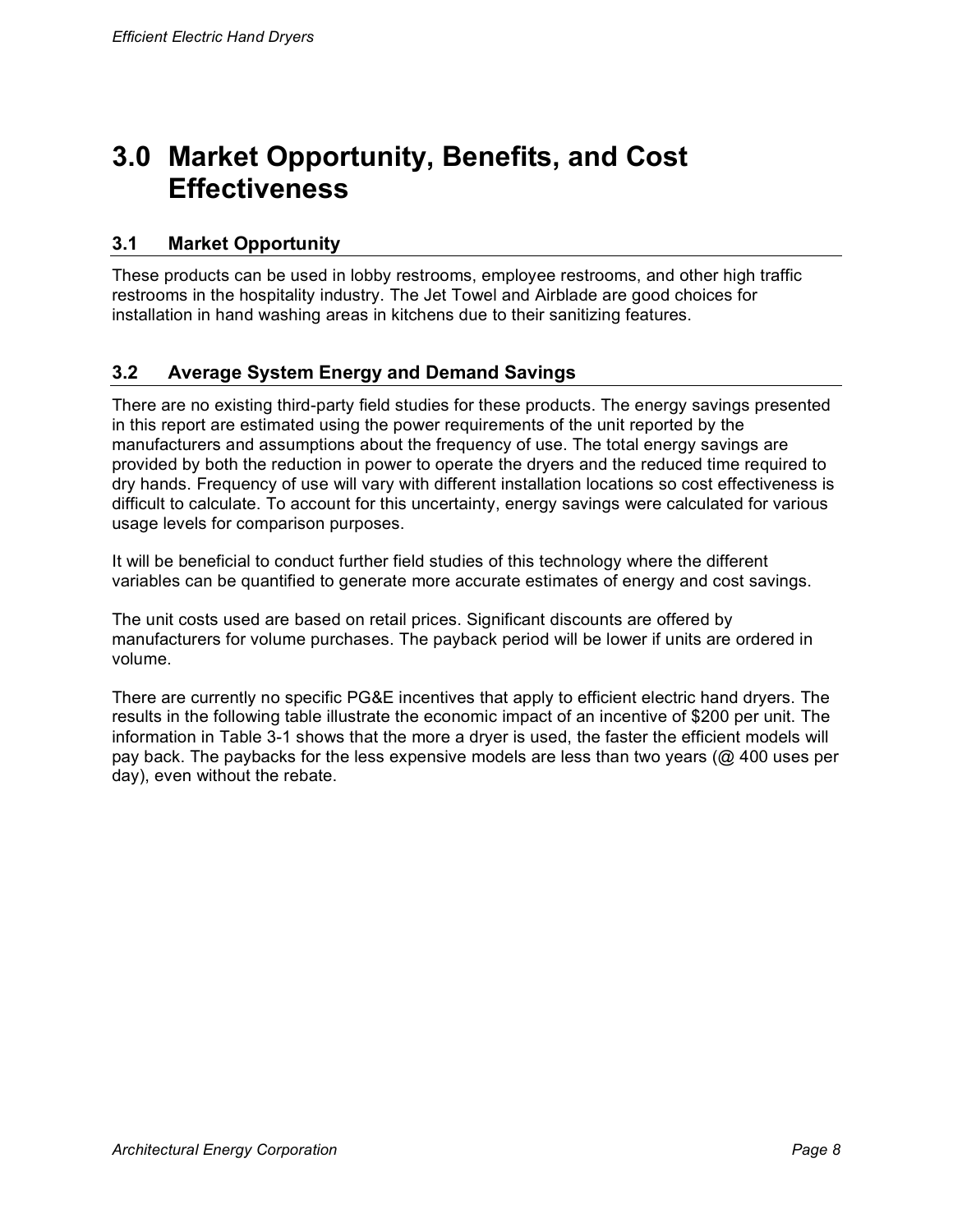## **3.0 Market Opportunity, Benefits, and Cost Effectiveness**

#### **3.1 Market Opportunity**

These products can be used in lobby restrooms, employee restrooms, and other high traffic restrooms in the hospitality industry. The Jet Towel and Airblade are good choices for installation in hand washing areas in kitchens due to their sanitizing features.

#### **3.2 Average System Energy and Demand Savings**

There are no existing third-party field studies for these products. The energy savings presented in this report are estimated using the power requirements of the unit reported by the manufacturers and assumptions about the frequency of use. The total energy savings are provided by both the reduction in power to operate the dryers and the reduced time required to dry hands. Frequency of use will vary with different installation locations so cost effectiveness is difficult to calculate. To account for this uncertainty, energy savings were calculated for various usage levels for comparison purposes.

It will be beneficial to conduct further field studies of this technology where the different variables can be quantified to generate more accurate estimates of energy and cost savings.

The unit costs used are based on retail prices. Significant discounts are offered by manufacturers for volume purchases. The payback period will be lower if units are ordered in volume.

There are currently no specific PG&E incentives that apply to efficient electric hand dryers. The results in the following table illustrate the economic impact of an incentive of \$200 per unit. The information in Table 3-1 shows that the more a dryer is used, the faster the efficient models will pay back. The paybacks for the less expensive models are less than two years (@ 400 uses per day), even without the rebate.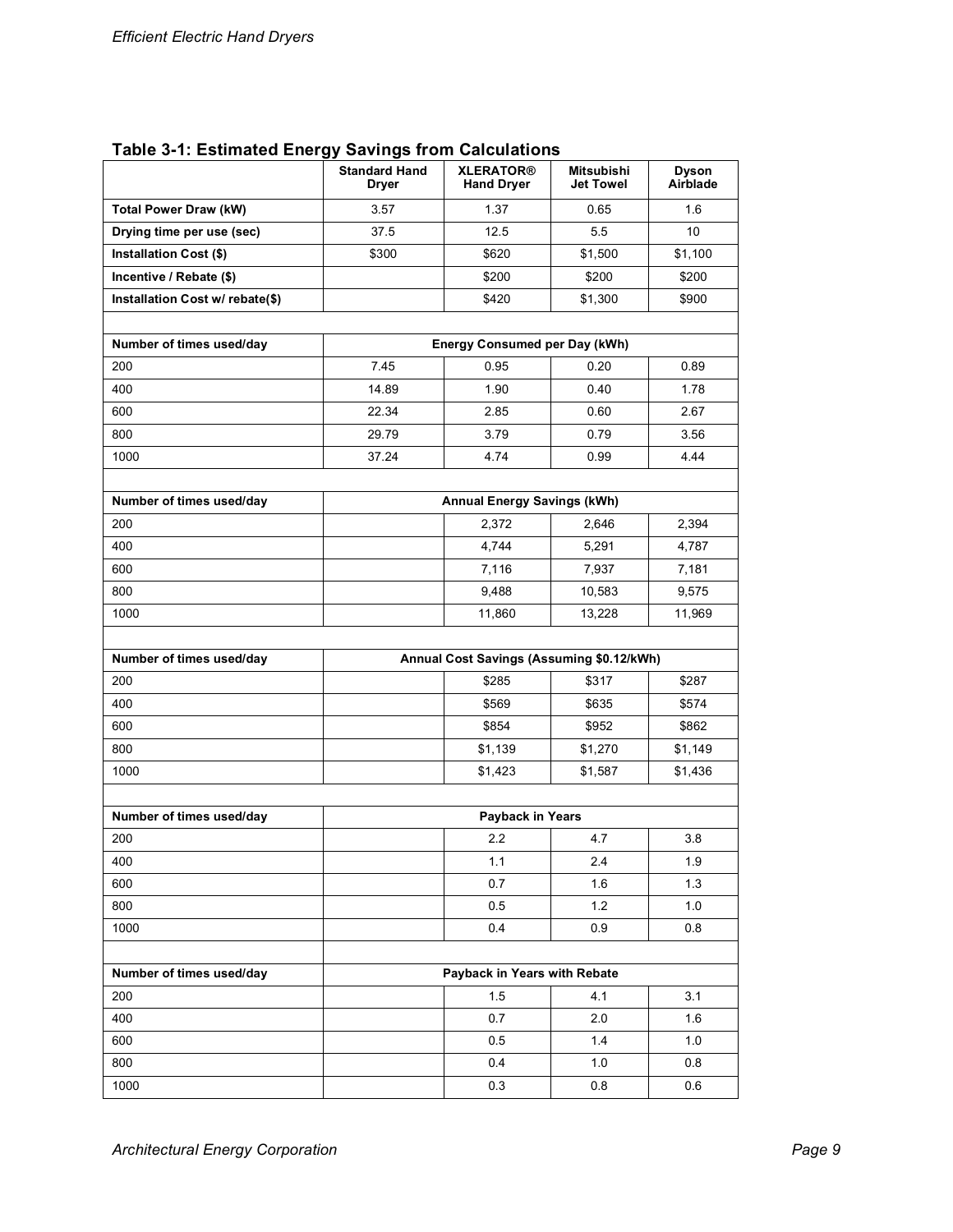| <b>Table 3-1: Estimated Energy Savings from Calculations</b> |  |
|--------------------------------------------------------------|--|
|--------------------------------------------------------------|--|

|                                      | <b>Standard Hand</b><br><b>Dryer</b>      | <b>XLERATOR®</b><br><b>Hand Dryer</b> | <b>Mitsubishi</b><br><b>Jet Towel</b> | <b>Dyson</b><br>Airblade |
|--------------------------------------|-------------------------------------------|---------------------------------------|---------------------------------------|--------------------------|
| <b>Total Power Draw (kW)</b><br>3.57 |                                           | 1.37                                  | 0.65                                  | 1.6                      |
| Drying time per use (sec)            | 37.5                                      | 12.5                                  | 5.5                                   | 10                       |
| <b>Installation Cost (\$)</b>        | \$300                                     | \$620                                 | \$1,500                               | \$1,100                  |
| Incentive / Rebate (\$)              |                                           | \$200                                 | \$200                                 | \$200                    |
| Installation Cost w/ rebate(\$)      |                                           | \$420                                 | \$1,300                               | \$900                    |
| Number of times used/day             | Energy Consumed per Day (kWh)             |                                       |                                       |                          |
| 200                                  | 7.45                                      | 0.95                                  | 0.20                                  | 0.89                     |
| 400                                  | 14.89                                     | 1.90                                  | 0.40                                  | 1.78                     |
| 600                                  | 22.34                                     | 2.85                                  | 0.60                                  | 2.67                     |
| 800                                  | 29.79                                     | 3.79                                  | 0.79                                  | 3.56                     |
| 1000                                 | 37.24                                     | 4.74                                  | 0.99                                  | 4.44                     |
|                                      |                                           |                                       |                                       |                          |
| Number of times used/day             |                                           | <b>Annual Energy Savings (kWh)</b>    |                                       |                          |
| 200                                  |                                           | 2,372                                 | 2,646                                 | 2,394                    |
| 400                                  |                                           | 4,744                                 | 5,291                                 | 4,787                    |
| 600                                  |                                           | 7,116                                 | 7,937                                 | 7,181                    |
| 800                                  |                                           | 9,488                                 | 10,583                                | 9,575                    |
| 1000                                 |                                           | 11,860                                | 13,228                                | 11,969                   |
| Number of times used/day             | Annual Cost Savings (Assuming \$0.12/kWh) |                                       |                                       |                          |
| 200                                  |                                           | \$285                                 | \$317                                 | \$287                    |
| 400                                  |                                           | \$569                                 | \$635                                 | \$574                    |
| 600                                  |                                           | \$854                                 | \$952                                 | \$862                    |
| 800                                  |                                           | \$1,139                               | \$1,270                               | \$1,149                  |
| 1000                                 |                                           | \$1,423                               | \$1,587                               | \$1,436                  |
|                                      |                                           |                                       |                                       |                          |
| Number of times used/day             |                                           | Payback in Years                      |                                       |                          |
| 200                                  |                                           | 2.2                                   | 4.7                                   | 3.8                      |
| 400                                  |                                           | 1.1                                   | 2.4                                   | 1.9                      |
| 600                                  |                                           | 0.7                                   | 1.6                                   | 1.3                      |
| 800                                  |                                           | 0.5                                   | 1.2                                   | 1.0                      |
| 1000                                 |                                           | 0.4                                   | 0.9                                   | 0.8                      |
| Number of times used/day             | Payback in Years with Rebate              |                                       |                                       |                          |
| 200                                  |                                           | 1.5                                   | 4.1                                   | 3.1                      |
| 400                                  |                                           | 0.7                                   | 2.0                                   | 1.6                      |
| 600                                  |                                           | 0.5                                   | 1.4                                   | 1.0                      |
| 800                                  |                                           | 0.4                                   | 1.0                                   | 0.8                      |
| 1000                                 |                                           | 0.3                                   | 0.8                                   | 0.6                      |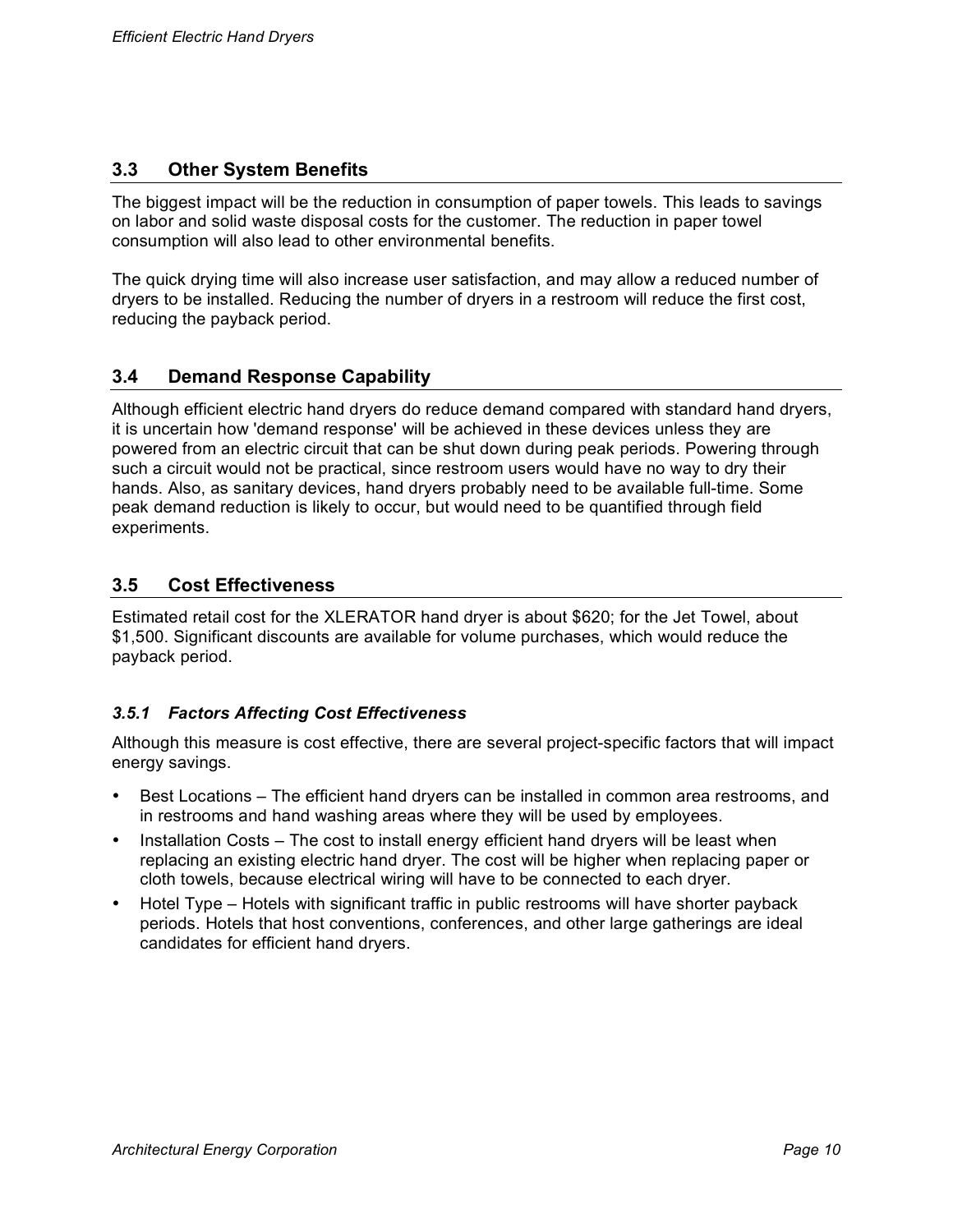#### **3.3 Other System Benefits**

The biggest impact will be the reduction in consumption of paper towels. This leads to savings on labor and solid waste disposal costs for the customer. The reduction in paper towel consumption will also lead to other environmental benefits.

The quick drying time will also increase user satisfaction, and may allow a reduced number of dryers to be installed. Reducing the number of dryers in a restroom will reduce the first cost, reducing the payback period.

#### **3.4 Demand Response Capability**

Although efficient electric hand dryers do reduce demand compared with standard hand dryers, it is uncertain how 'demand response' will be achieved in these devices unless they are powered from an electric circuit that can be shut down during peak periods. Powering through such a circuit would not be practical, since restroom users would have no way to dry their hands. Also, as sanitary devices, hand dryers probably need to be available full-time. Some peak demand reduction is likely to occur, but would need to be quantified through field experiments.

#### **3.5 Cost Effectiveness**

Estimated retail cost for the XLERATOR hand dryer is about \$620; for the Jet Towel, about \$1,500. Significant discounts are available for volume purchases, which would reduce the payback period.

#### *3.5.1 Factors Affecting Cost Effectiveness*

Although this measure is cost effective, there are several project-specific factors that will impact energy savings.

- Best Locations The efficient hand dryers can be installed in common area restrooms, and in restrooms and hand washing areas where they will be used by employees.
- Installation Costs The cost to install energy efficient hand dryers will be least when replacing an existing electric hand dryer. The cost will be higher when replacing paper or cloth towels, because electrical wiring will have to be connected to each dryer.
- Hotel Type Hotels with significant traffic in public restrooms will have shorter payback periods. Hotels that host conventions, conferences, and other large gatherings are ideal candidates for efficient hand dryers.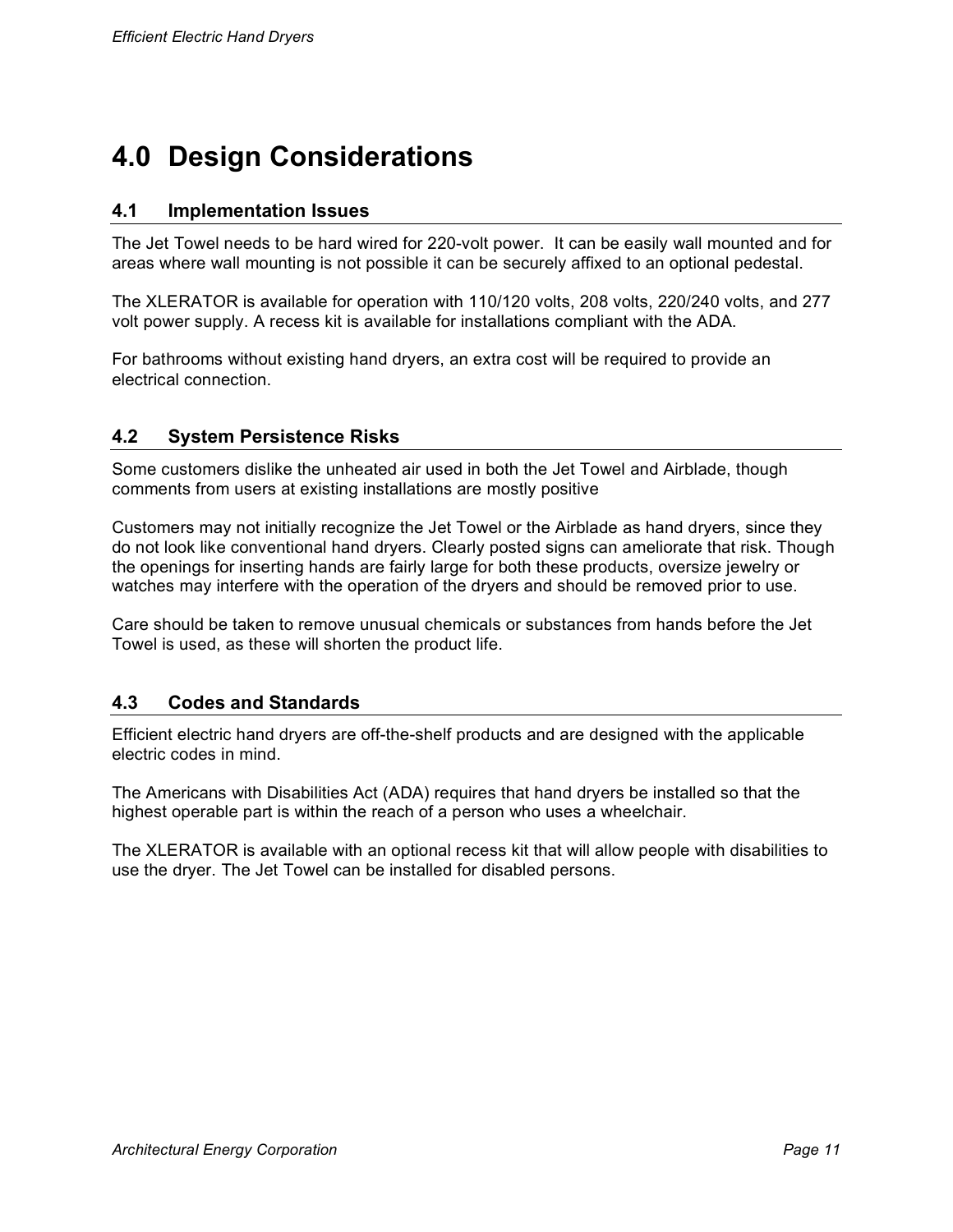## **4.0 Design Considerations**

#### **4.1 Implementation Issues**

The Jet Towel needs to be hard wired for 220-volt power. It can be easily wall mounted and for areas where wall mounting is not possible it can be securely affixed to an optional pedestal.

The XLERATOR is available for operation with 110/120 volts, 208 volts, 220/240 volts, and 277 volt power supply. A recess kit is available for installations compliant with the ADA.

For bathrooms without existing hand dryers, an extra cost will be required to provide an electrical connection.

#### **4.2 System Persistence Risks**

Some customers dislike the unheated air used in both the Jet Towel and Airblade, though comments from users at existing installations are mostly positive

Customers may not initially recognize the Jet Towel or the Airblade as hand dryers, since they do not look like conventional hand dryers. Clearly posted signs can ameliorate that risk. Though the openings for inserting hands are fairly large for both these products, oversize jewelry or watches may interfere with the operation of the dryers and should be removed prior to use.

Care should be taken to remove unusual chemicals or substances from hands before the Jet Towel is used, as these will shorten the product life.

#### **4.3 Codes and Standards**

Efficient electric hand dryers are off-the-shelf products and are designed with the applicable electric codes in mind.

The Americans with Disabilities Act (ADA) requires that hand dryers be installed so that the highest operable part is within the reach of a person who uses a wheelchair.

The XLERATOR is available with an optional recess kit that will allow people with disabilities to use the dryer. The Jet Towel can be installed for disabled persons.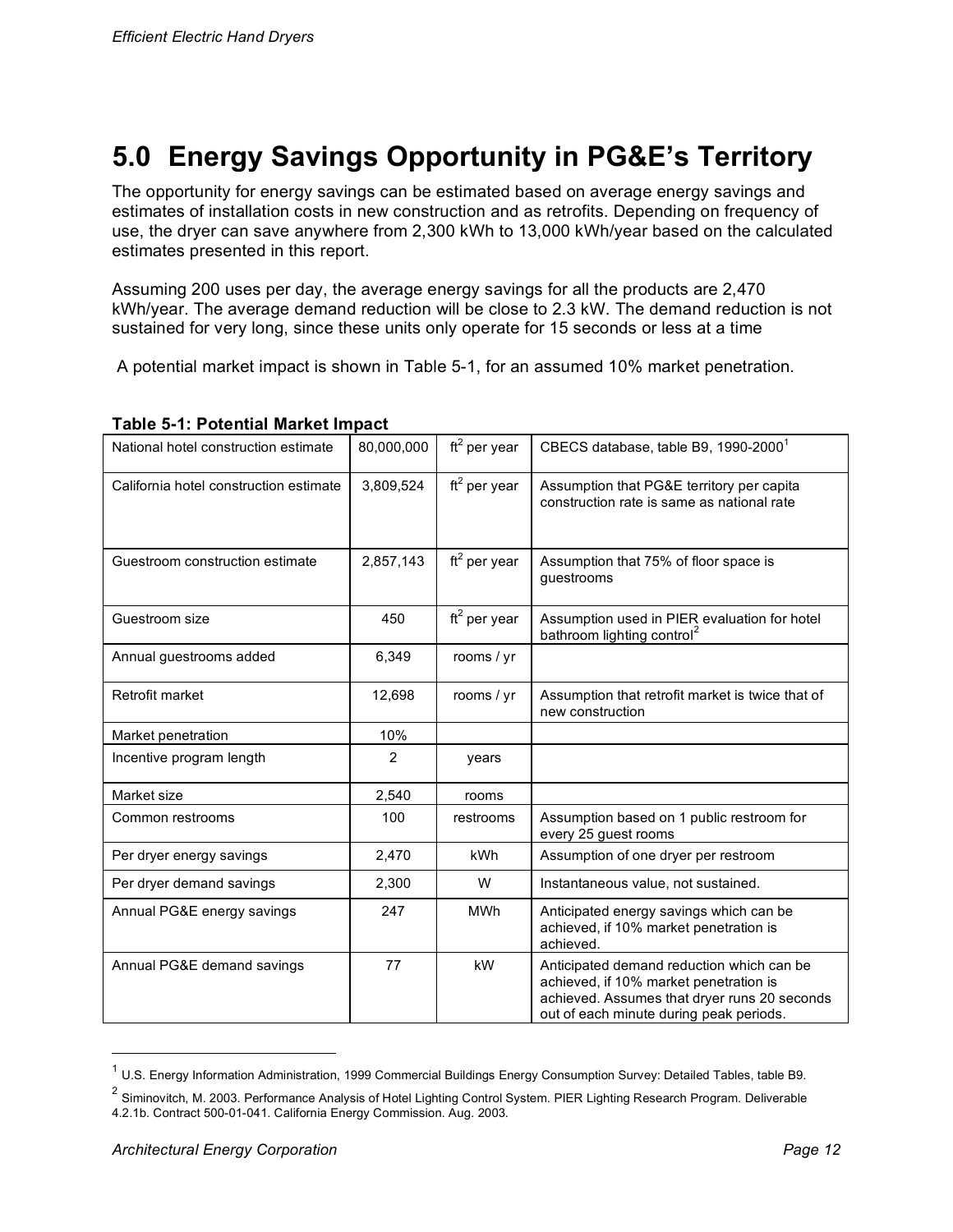# **5.0 Energy Savings Opportunity in PG&E's Territory**

The opportunity for energy savings can be estimated based on average energy savings and estimates of installation costs in new construction and as retrofits. Depending on frequency of use, the dryer can save anywhere from 2,300 kWh to 13,000 kWh/year based on the calculated estimates presented in this report.

Assuming 200 uses per day, the average energy savings for all the products are 2,470 kWh/year. The average demand reduction will be close to 2.3 kW. The demand reduction is not sustained for very long, since these units only operate for 15 seconds or less at a time

A potential market impact is shown in Table 5-1, for an assumed 10% market penetration.

| National hotel construction estimate   | 80,000,000     | ft <sup>2</sup> per year | CBECS database, table B9, 1990-2000 <sup>1</sup>                                                                                                                               |
|----------------------------------------|----------------|--------------------------|--------------------------------------------------------------------------------------------------------------------------------------------------------------------------------|
| California hotel construction estimate | 3,809,524      | $ft^2$ per year          | Assumption that PG&E territory per capita<br>construction rate is same as national rate                                                                                        |
| Guestroom construction estimate        | 2,857,143      | $ft^2$ per year          | Assumption that 75% of floor space is<br>guestrooms                                                                                                                            |
| Guestroom size                         | 450            | $ft^2$ per year          | Assumption used in PIER evaluation for hotel<br>bathroom lighting control <sup>2</sup>                                                                                         |
| Annual guestrooms added                | 6,349          | rooms / yr               |                                                                                                                                                                                |
| Retrofit market                        | 12,698         | rooms / yr               | Assumption that retrofit market is twice that of<br>new construction                                                                                                           |
| Market penetration                     | 10%            |                          |                                                                                                                                                                                |
| Incentive program length               | $\overline{2}$ | years                    |                                                                                                                                                                                |
| Market size                            | 2,540          | rooms                    |                                                                                                                                                                                |
| Common restrooms                       | 100            | restrooms                | Assumption based on 1 public restroom for<br>every 25 guest rooms                                                                                                              |
| Per dryer energy savings               | 2,470          | kWh                      | Assumption of one dryer per restroom                                                                                                                                           |
| Per dryer demand savings               | 2,300          | W                        | Instantaneous value, not sustained.                                                                                                                                            |
| Annual PG&E energy savings             | 247            | <b>MWh</b>               | Anticipated energy savings which can be<br>achieved, if 10% market penetration is<br>achieved.                                                                                 |
| Annual PG&E demand savings             | 77             | kW                       | Anticipated demand reduction which can be<br>achieved, if 10% market penetration is<br>achieved. Assumes that dryer runs 20 seconds<br>out of each minute during peak periods. |

#### **Table 5-1: Potential Market Impact**

 $1$  U.S. Energy Information Administration, 1999 Commercial Buildings Energy Consumption Survey: Detailed Tables, table B9.

 $2$  Siminovitch, M. 2003. Performance Analysis of Hotel Lighting Control System. PIER Lighting Research Program. Deliverable 4.2.1b. Contract 500-01-041. California Energy Commission. Aug. 2003.